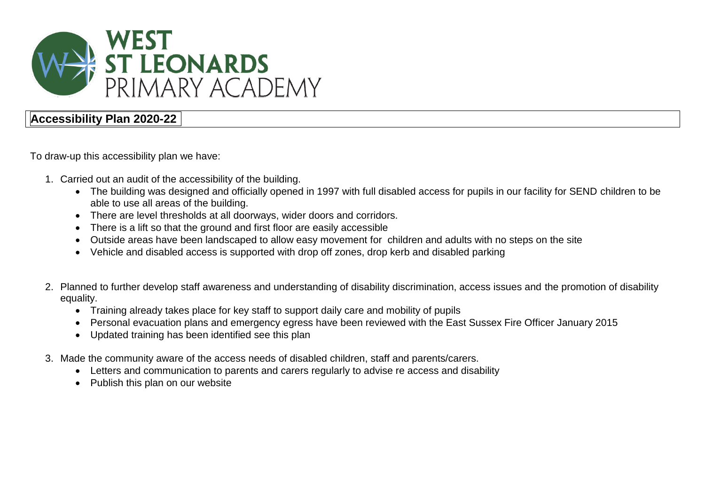

## **Accessibility Plan 2020-22**

To draw-up this accessibility plan we have:

- 1. Carried out an audit of the accessibility of the building.
	- The building was designed and officially opened in 1997 with full disabled access for pupils in our facility for SEND children to be able to use all areas of the building.
	- There are level thresholds at all doorways, wider doors and corridors.
	- There is a lift so that the ground and first floor are easily accessible
	- Outside areas have been landscaped to allow easy movement for children and adults with no steps on the site
	- Vehicle and disabled access is supported with drop off zones, drop kerb and disabled parking
- 2. Planned to further develop staff awareness and understanding of disability discrimination, access issues and the promotion of disability equality.
	- Training already takes place for key staff to support daily care and mobility of pupils
	- Personal evacuation plans and emergency egress have been reviewed with the East Sussex Fire Officer January 2015
	- Updated training has been identified see this plan
- 3. Made the community aware of the access needs of disabled children, staff and parents/carers.
	- Letters and communication to parents and carers regularly to advise re access and disability
	- Publish this plan on our website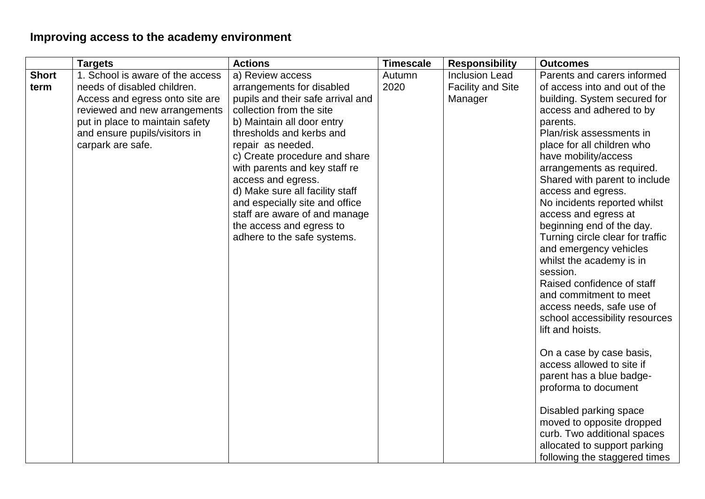## **Improving access to the academy environment**

| <b>Short</b> | <b>Targets</b>                                                                                                                                                                                                               | <b>Actions</b>                                                                                                                                                                                                                                                                                                                                                                                                                                         | <b>Timescale</b> | <b>Responsibility</b>                                        | <b>Outcomes</b>                                                                                                                                                                                                                                                                                                                                                                                                                                                                                                                                                                                                                                                                                                                                                                                                                                     |
|--------------|------------------------------------------------------------------------------------------------------------------------------------------------------------------------------------------------------------------------------|--------------------------------------------------------------------------------------------------------------------------------------------------------------------------------------------------------------------------------------------------------------------------------------------------------------------------------------------------------------------------------------------------------------------------------------------------------|------------------|--------------------------------------------------------------|-----------------------------------------------------------------------------------------------------------------------------------------------------------------------------------------------------------------------------------------------------------------------------------------------------------------------------------------------------------------------------------------------------------------------------------------------------------------------------------------------------------------------------------------------------------------------------------------------------------------------------------------------------------------------------------------------------------------------------------------------------------------------------------------------------------------------------------------------------|
| term         | 1. School is aware of the access<br>needs of disabled children.<br>Access and egress onto site are<br>reviewed and new arrangements<br>put in place to maintain safety<br>and ensure pupils/visitors in<br>carpark are safe. | a) Review access<br>arrangements for disabled<br>pupils and their safe arrival and<br>collection from the site<br>b) Maintain all door entry<br>thresholds and kerbs and<br>repair as needed.<br>c) Create procedure and share<br>with parents and key staff re<br>access and egress.<br>d) Make sure all facility staff<br>and especially site and office<br>staff are aware of and manage<br>the access and egress to<br>adhere to the safe systems. | Autumn<br>2020   | <b>Inclusion Lead</b><br><b>Facility and Site</b><br>Manager | Parents and carers informed<br>of access into and out of the<br>building. System secured for<br>access and adhered to by<br>parents.<br>Plan/risk assessments in<br>place for all children who<br>have mobility/access<br>arrangements as required.<br>Shared with parent to include<br>access and egress.<br>No incidents reported whilst<br>access and egress at<br>beginning end of the day.<br>Turning circle clear for traffic<br>and emergency vehicles<br>whilst the academy is in<br>session.<br>Raised confidence of staff<br>and commitment to meet<br>access needs, safe use of<br>school accessibility resources<br>lift and hoists.<br>On a case by case basis,<br>access allowed to site if<br>parent has a blue badge-<br>proforma to document<br>Disabled parking space<br>moved to opposite dropped<br>curb. Two additional spaces |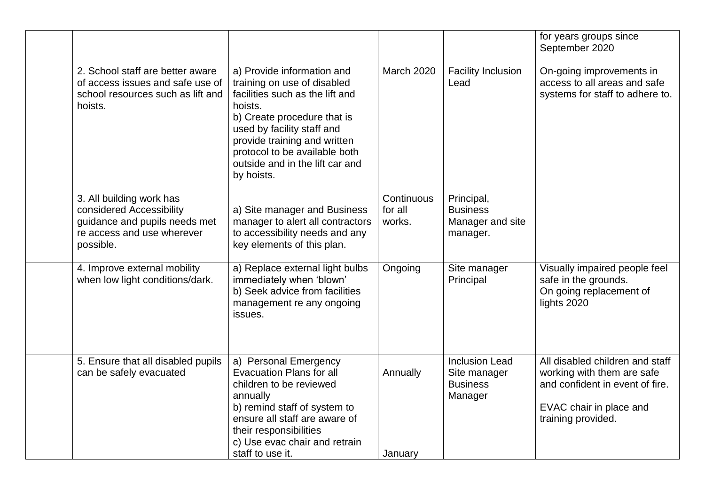|                                                                                                                                  |                                                                                                                                                                                                                                                                                        |                                 |                                                                     | for years groups since<br>September 2020                                                                                                          |
|----------------------------------------------------------------------------------------------------------------------------------|----------------------------------------------------------------------------------------------------------------------------------------------------------------------------------------------------------------------------------------------------------------------------------------|---------------------------------|---------------------------------------------------------------------|---------------------------------------------------------------------------------------------------------------------------------------------------|
| 2. School staff are better aware<br>of access issues and safe use of<br>school resources such as lift and<br>hoists.             | a) Provide information and<br>training on use of disabled<br>facilities such as the lift and<br>hoists.<br>b) Create procedure that is<br>used by facility staff and<br>provide training and written<br>protocol to be available both<br>outside and in the lift car and<br>by hoists. | <b>March 2020</b>               | <b>Facility Inclusion</b><br>Lead                                   | On-going improvements in<br>access to all areas and safe<br>systems for staff to adhere to.                                                       |
| 3. All building work has<br>considered Accessibility<br>guidance and pupils needs met<br>re access and use wherever<br>possible. | a) Site manager and Business<br>manager to alert all contractors<br>to accessibility needs and any<br>key elements of this plan.                                                                                                                                                       | Continuous<br>for all<br>works. | Principal,<br><b>Business</b><br>Manager and site<br>manager.       |                                                                                                                                                   |
| 4. Improve external mobility<br>when low light conditions/dark.                                                                  | a) Replace external light bulbs<br>immediately when 'blown'<br>b) Seek advice from facilities<br>management re any ongoing<br>issues.                                                                                                                                                  | Ongoing                         | Site manager<br>Principal                                           | Visually impaired people feel<br>safe in the grounds.<br>On going replacement of<br>lights 2020                                                   |
| 5. Ensure that all disabled pupils<br>can be safely evacuated                                                                    | a) Personal Emergency<br><b>Evacuation Plans for all</b><br>children to be reviewed<br>annually<br>b) remind staff of system to<br>ensure all staff are aware of<br>their responsibilities<br>c) Use evac chair and retrain<br>staff to use it.                                        | Annually<br>January             | <b>Inclusion Lead</b><br>Site manager<br><b>Business</b><br>Manager | All disabled children and staff<br>working with them are safe<br>and confident in event of fire.<br>EVAC chair in place and<br>training provided. |
|                                                                                                                                  |                                                                                                                                                                                                                                                                                        |                                 |                                                                     |                                                                                                                                                   |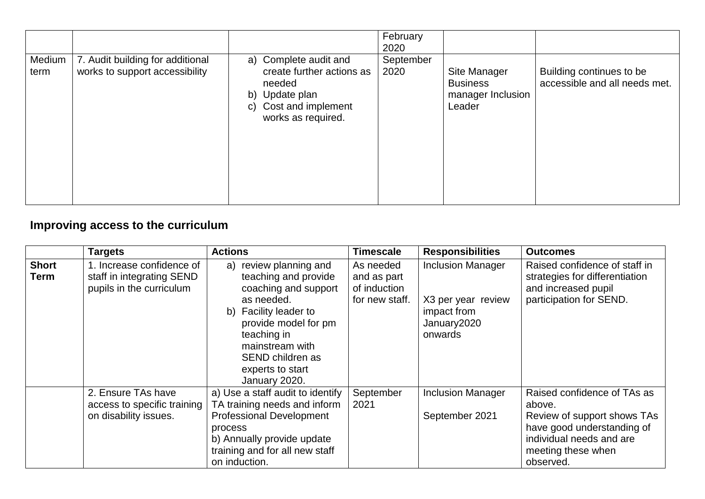|                |                                                                    |                                                                                                                               | February<br>2020  |                                                                |                                                           |
|----------------|--------------------------------------------------------------------|-------------------------------------------------------------------------------------------------------------------------------|-------------------|----------------------------------------------------------------|-----------------------------------------------------------|
| Medium<br>term | 7. Audit building for additional<br>works to support accessibility | a) Complete audit and<br>create further actions as<br>needed<br>b) Update plan<br>c) Cost and implement<br>works as required. | September<br>2020 | Site Manager<br><b>Business</b><br>manager Inclusion<br>Leader | Building continues to be<br>accessible and all needs met. |

## **Improving access to the curriculum**

|                      | <b>Targets</b>                                                                     | <b>Actions</b>                                                                                                                                                                                                                   | <b>Timescale</b>                                           | <b>Responsibilities</b>                                                                 | <b>Outcomes</b>                                                                                                                                                   |
|----------------------|------------------------------------------------------------------------------------|----------------------------------------------------------------------------------------------------------------------------------------------------------------------------------------------------------------------------------|------------------------------------------------------------|-----------------------------------------------------------------------------------------|-------------------------------------------------------------------------------------------------------------------------------------------------------------------|
| <b>Short</b><br>Term | 1. Increase confidence of<br>staff in integrating SEND<br>pupils in the curriculum | a) review planning and<br>teaching and provide<br>coaching and support<br>as needed.<br>b) Facility leader to<br>provide model for pm<br>teaching in<br>mainstream with<br>SEND children as<br>experts to start<br>January 2020. | As needed<br>and as part<br>of induction<br>for new staff. | <b>Inclusion Manager</b><br>X3 per year review<br>impact from<br>January2020<br>onwards | Raised confidence of staff in<br>strategies for differentiation<br>and increased pupil<br>participation for SEND.                                                 |
|                      | 2. Ensure TAs have<br>access to specific training<br>on disability issues.         | a) Use a staff audit to identify<br>TA training needs and inform<br><b>Professional Development</b><br>process<br>b) Annually provide update<br>training and for all new staff<br>on induction.                                  | September<br>2021                                          | <b>Inclusion Manager</b><br>September 2021                                              | Raised confidence of TAs as<br>above.<br>Review of support shows TAs<br>have good understanding of<br>individual needs and are<br>meeting these when<br>observed. |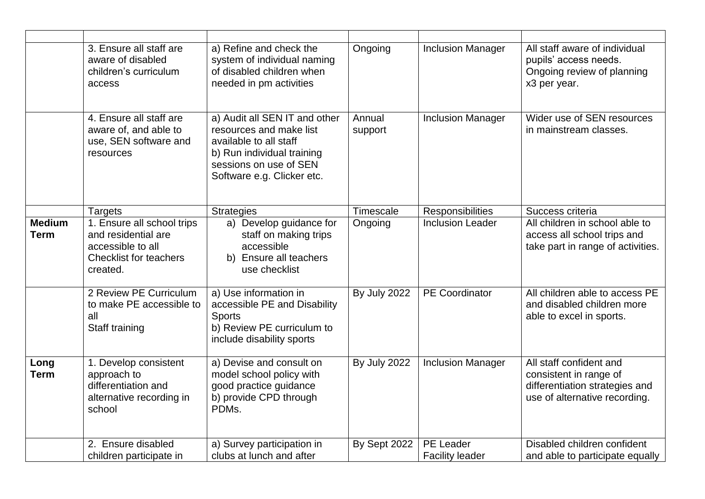|                              | 3. Ensure all staff are<br>aware of disabled<br>children's curriculum<br>access                                     | a) Refine and check the<br>system of individual naming<br>of disabled children when<br>needed in pm activities                                                           | Ongoing             | <b>Inclusion Manager</b>                   | All staff aware of individual<br>pupils' access needs.<br>Ongoing review of planning<br>x3 per year.                 |
|------------------------------|---------------------------------------------------------------------------------------------------------------------|--------------------------------------------------------------------------------------------------------------------------------------------------------------------------|---------------------|--------------------------------------------|----------------------------------------------------------------------------------------------------------------------|
|                              | 4. Ensure all staff are<br>aware of, and able to<br>use, SEN software and<br>resources                              | a) Audit all SEN IT and other<br>resources and make list<br>available to all staff<br>b) Run individual training<br>sessions on use of SEN<br>Software e.g. Clicker etc. | Annual<br>support   | <b>Inclusion Manager</b>                   | Wider use of SEN resources<br>in mainstream classes.                                                                 |
|                              | <b>Targets</b>                                                                                                      | <b>Strategies</b>                                                                                                                                                        | Timescale           | Responsibilities                           | Success criteria                                                                                                     |
| <b>Medium</b><br><b>Term</b> | 1. Ensure all school trips<br>and residential are<br>accessible to all<br><b>Checklist for teachers</b><br>created. | a) Develop guidance for<br>staff on making trips<br>accessible<br>b) Ensure all teachers<br>use checklist                                                                | Ongoing             | <b>Inclusion Leader</b>                    | All children in school able to<br>access all school trips and<br>take part in range of activities.                   |
|                              | 2 Review PE Curriculum<br>to make PE accessible to<br>all<br>Staff training                                         | a) Use information in<br>accessible PE and Disability<br><b>Sports</b><br>b) Review PE curriculum to<br>include disability sports                                        | <b>By July 2022</b> | <b>PE</b> Coordinator                      | All children able to access PE<br>and disabled children more<br>able to excel in sports.                             |
| Long<br><b>Term</b>          | 1. Develop consistent<br>approach to<br>differentiation and<br>alternative recording in<br>school                   | a) Devise and consult on<br>model school policy with<br>good practice guidance<br>b) provide CPD through<br>PDMs.                                                        | <b>By July 2022</b> | <b>Inclusion Manager</b>                   | All staff confident and<br>consistent in range of<br>differentiation strategies and<br>use of alternative recording. |
|                              | 2. Ensure disabled<br>children participate in                                                                       | a) Survey participation in<br>clubs at lunch and after                                                                                                                   | By Sept 2022        | <b>PE Leader</b><br><b>Facility leader</b> | Disabled children confident<br>and able to participate equally                                                       |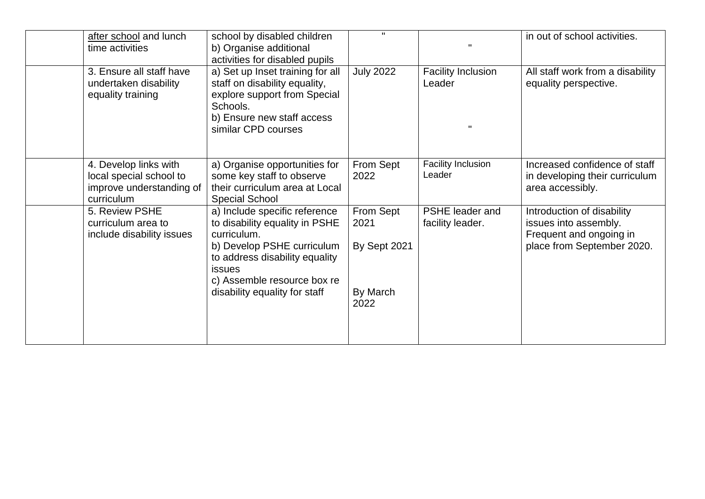| after school and lunch<br>time activities                                                  | school by disabled children<br>b) Organise additional<br>activities for disabled pupils                                                                                                        | $\mathbf{H}$                      |                                     | in out of school activities.                                                                                 |
|--------------------------------------------------------------------------------------------|------------------------------------------------------------------------------------------------------------------------------------------------------------------------------------------------|-----------------------------------|-------------------------------------|--------------------------------------------------------------------------------------------------------------|
| 3. Ensure all staff have<br>undertaken disability<br>equality training                     | a) Set up Inset training for all<br>staff on disability equality,<br>explore support from Special<br>Schools.<br>b) Ensure new staff access<br>similar CPD courses                             | <b>July 2022</b>                  | <b>Facility Inclusion</b><br>Leader | All staff work from a disability<br>equality perspective.                                                    |
| 4. Develop links with<br>local special school to<br>improve understanding of<br>curriculum | a) Organise opportunities for<br>some key staff to observe<br>their curriculum area at Local<br><b>Special School</b>                                                                          | From Sept<br>2022                 | <b>Facility Inclusion</b><br>Leader | Increased confidence of staff<br>in developing their curriculum<br>area accessibly.                          |
| 5. Review PSHE<br>curriculum area to<br>include disability issues                          | a) Include specific reference<br>to disability equality in PSHE<br>curriculum.<br>b) Develop PSHE curriculum<br>to address disability equality<br><b>issues</b><br>c) Assemble resource box re | From Sept<br>2021<br>By Sept 2021 | PSHE leader and<br>facility leader. | Introduction of disability<br>issues into assembly.<br>Frequent and ongoing in<br>place from September 2020. |
|                                                                                            | disability equality for staff                                                                                                                                                                  | By March<br>2022                  |                                     |                                                                                                              |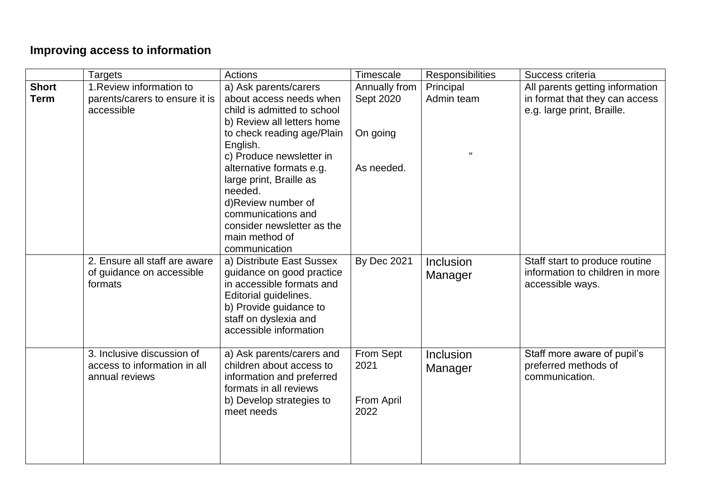## **Improving access to information**

|              | <b>Targets</b>                                             | Actions                                                | Timescale          | Responsibilities | Success criteria                                                  |
|--------------|------------------------------------------------------------|--------------------------------------------------------|--------------------|------------------|-------------------------------------------------------------------|
| <b>Short</b> | 1. Review information to                                   | a) Ask parents/carers                                  | Annually from      | Principal        | All parents getting information                                   |
| <b>Term</b>  | parents/carers to ensure it is                             | about access needs when                                | Sept 2020          | Admin team       | in format that they can access                                    |
|              | accessible                                                 | child is admitted to school                            |                    |                  | e.g. large print, Braille.                                        |
|              |                                                            | b) Review all letters home                             |                    |                  |                                                                   |
|              |                                                            | to check reading age/Plain                             | On going           |                  |                                                                   |
|              |                                                            | English.                                               |                    |                  |                                                                   |
|              |                                                            | c) Produce newsletter in                               |                    |                  |                                                                   |
|              |                                                            | alternative formats e.g.                               | As needed.         |                  |                                                                   |
|              |                                                            | large print, Braille as                                |                    |                  |                                                                   |
|              |                                                            | needed.                                                |                    |                  |                                                                   |
|              |                                                            | d)Review number of                                     |                    |                  |                                                                   |
|              |                                                            | communications and                                     |                    |                  |                                                                   |
|              |                                                            | consider newsletter as the                             |                    |                  |                                                                   |
|              |                                                            | main method of                                         |                    |                  |                                                                   |
|              |                                                            | communication                                          |                    |                  |                                                                   |
|              | 2. Ensure all staff are aware<br>of guidance on accessible | a) Distribute East Sussex<br>guidance on good practice | <b>By Dec 2021</b> | Inclusion        | Staff start to produce routine<br>information to children in more |
|              | formats                                                    | in accessible formats and                              |                    | Manager          | accessible ways.                                                  |
|              |                                                            | Editorial guidelines.                                  |                    |                  |                                                                   |
|              |                                                            | b) Provide guidance to                                 |                    |                  |                                                                   |
|              |                                                            | staff on dyslexia and                                  |                    |                  |                                                                   |
|              |                                                            | accessible information                                 |                    |                  |                                                                   |
|              |                                                            |                                                        |                    |                  |                                                                   |
|              | 3. Inclusive discussion of                                 | a) Ask parents/carers and                              | From Sept          | Inclusion        | Staff more aware of pupil's                                       |
|              | access to information in all                               | children about access to                               | 2021               | Manager          | preferred methods of                                              |
|              | annual reviews                                             | information and preferred                              |                    |                  | communication.                                                    |
|              |                                                            | formats in all reviews                                 |                    |                  |                                                                   |
|              |                                                            | b) Develop strategies to                               | From April         |                  |                                                                   |
|              |                                                            | meet needs                                             | 2022               |                  |                                                                   |
|              |                                                            |                                                        |                    |                  |                                                                   |
|              |                                                            |                                                        |                    |                  |                                                                   |
|              |                                                            |                                                        |                    |                  |                                                                   |
|              |                                                            |                                                        |                    |                  |                                                                   |